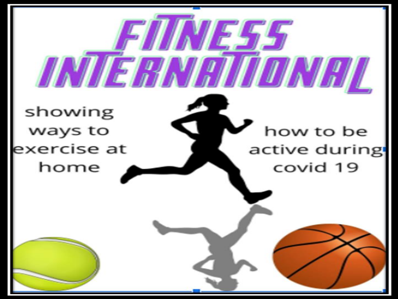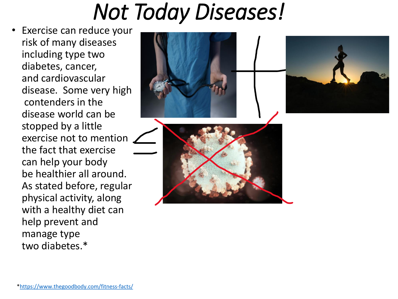#### *Not Today Diseases!*

• Exercise can reduce your risk of many diseases including type two diabetes, cancer, and cardiovascular disease. Some very high contenders in the disease world can be stopped by a little exercise not to mention the fact that exercise can help your body be healthier all around. As stated before, regular physical activity, along with a healthy diet can help prevent and manage type two diabetes.\*



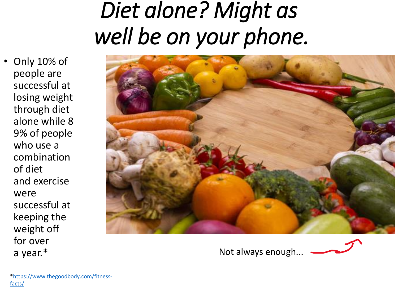### *Diet alone? Might as well be on your phone.*

• Only 10% of people are successful at losing weight through diet alone while 8 9% of people who use a combination of diet and exercise were successful at keeping the weight off for over a year.\*



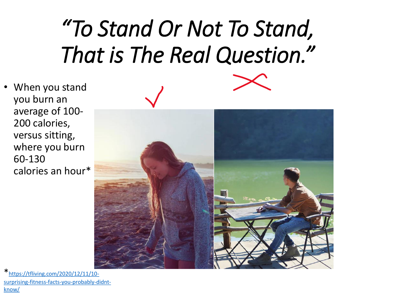# *"To Stand Or Not To Stand, That is The Real Question."*

• When you stand you burn an average of 100- 200 calories, versus sitting, where you burn 60-130 calories an hour\*



\*https://tfliving.com/2020/12/11/10 [surprising-fitness-facts-you-probably-didnt](https://tfliving.com/2020/12/11/10-surprising-fitness-facts-you-probably-didnt-know/)know/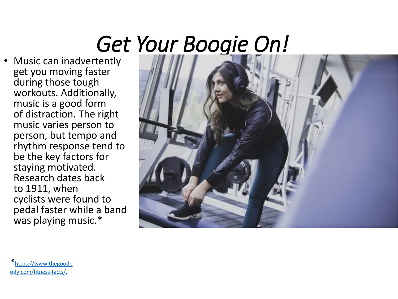# *Get Your Boogie On!*

• Music can inadvertently get you moving faster during those tough workouts. Additionally, music is a good form of distraction. The right music varies person to person, but tempo and rhythm response tend to be the key factors for staying motivated. Research dates back to 1911, when cyclists were found to pedal faster while a band was playing music.\*



\* https://www.thegoodb [ody.com/fitness-facts/.](https://www.thegoodbody.com/fitness-facts/)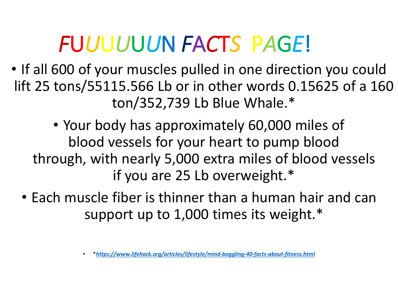#### *F*U*U*U*U*U*U*N *F*A*C*T*S* P*A*G*E*!

- If all 600 of your muscles pulled in one direction you could lift 25 tons/55115.566 Lb or in other words 0.15625 of a 160 ton/352,739 Lb Blue Whale.\*
	- Your body has approximately 60,000 miles of blood vessels for your heart to pump blood through, with nearly 5,000 extra miles of blood vessels if you are 25 Lb overweight.\*
	- Each muscle fiber is thinner than a human hair and can support up to 1,000 times its weight.\*

<sup>•</sup> \**<https://www.lifehack.org/articles/lifestyle/mind-boggling-40-facts-about-fitness.html>*